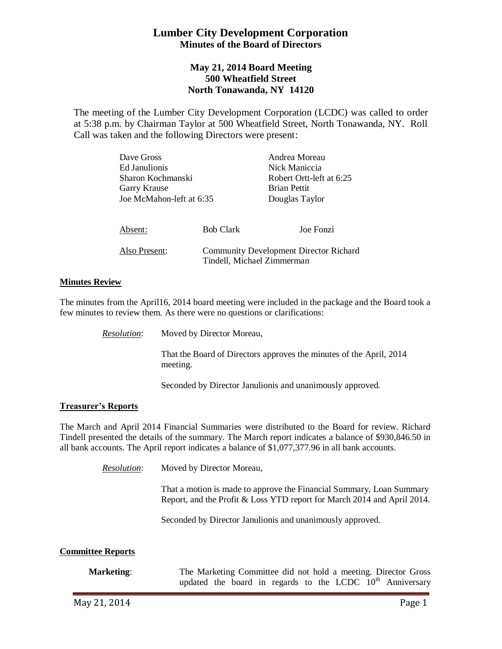# **Lumber City Development Corporation Minutes of the Board of Directors**

# **May 21, 2014 Board Meeting 500 Wheatfield Street North Tonawanda, NY 14120**

The meeting of the Lumber City Development Corporation (LCDC) was called to order at 5:38 p.m. by Chairman Taylor at 500 Wheatfield Street, North Tonawanda, NY. Roll Call was taken and the following Directors were present:

| Dave Gross<br>Ed Janulionis<br>Sharon Kochmanski<br><b>Garry Krause</b><br>Joe McMahon-left at 6:35 |                            | Andrea Moreau<br>Nick Maniccia<br>Robert Ortt-left at 6:25<br><b>Brian Pettit</b><br>Douglas Taylor |
|-----------------------------------------------------------------------------------------------------|----------------------------|-----------------------------------------------------------------------------------------------------|
| Absent:                                                                                             | <b>Bob Clark</b>           | Joe Fonzi                                                                                           |
| Also Present:                                                                                       | Tindell, Michael Zimmerman | <b>Community Development Director Richard</b>                                                       |

## **Minutes Review**

The minutes from the April16, 2014 board meeting were included in the package and the Board took a few minutes to review them. As there were no questions or clarifications:

*Resolution*: Moved by Director Moreau,

That the Board of Directors approves the minutes of the April, 2014 meeting.

Seconded by Director Janulionis and unanimously approved.

### **Treasurer's Reports**

The March and April 2014 Financial Summaries were distributed to the Board for review. Richard Tindell presented the details of the summary. The March report indicates a balance of \$930,846.50 in all bank accounts. The April report indicates a balance of \$1,077,377.96 in all bank accounts.

*Resolution*: Moved by Director Moreau,

That a motion is made to approve the Financial Summary, Loan Summary Report, and the Profit & Loss YTD report for March 2014 and April 2014.

Seconded by Director Janulionis and unanimously approved.

### **Committee Reports**

**Marketing:** The Marketing Committee did not hold a meeting. Director Gross updated the board in regards to the LCDC  $10<sup>th</sup>$  Anniversary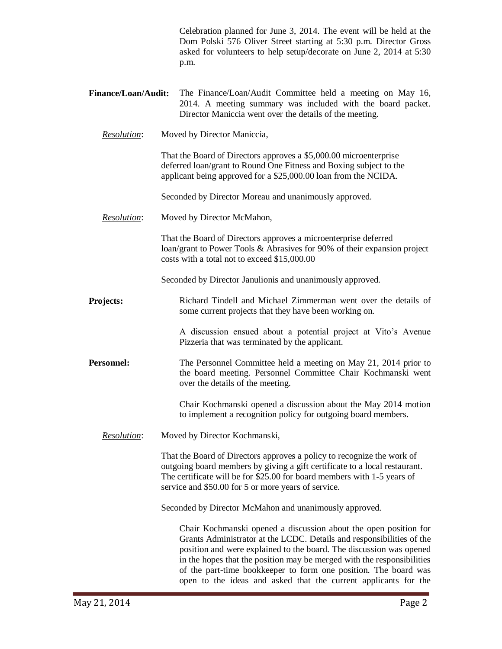|                                  | Celebration planned for June 3, 2014. The event will be held at the<br>Dom Polski 576 Oliver Street starting at 5:30 p.m. Director Gross<br>asked for volunteers to help setup/decorate on June 2, 2014 at 5:30<br>p.m.                                                                                                                                                                                                          |  |
|----------------------------------|----------------------------------------------------------------------------------------------------------------------------------------------------------------------------------------------------------------------------------------------------------------------------------------------------------------------------------------------------------------------------------------------------------------------------------|--|
| <b>Finance/Loan/Audit:</b>       | The Finance/Loan/Audit Committee held a meeting on May 16,<br>2014. A meeting summary was included with the board packet.<br>Director Maniccia went over the details of the meeting.                                                                                                                                                                                                                                             |  |
| Resolution:                      | Moved by Director Maniccia,                                                                                                                                                                                                                                                                                                                                                                                                      |  |
|                                  | That the Board of Directors approves a \$5,000.00 microenterprise<br>deferred loan/grant to Round One Fitness and Boxing subject to the<br>applicant being approved for a \$25,000.00 loan from the NCIDA.                                                                                                                                                                                                                       |  |
|                                  | Seconded by Director Moreau and unanimously approved.                                                                                                                                                                                                                                                                                                                                                                            |  |
| Resolution:                      | Moved by Director McMahon,                                                                                                                                                                                                                                                                                                                                                                                                       |  |
|                                  | That the Board of Directors approves a microenterprise deferred<br>loan/grant to Power Tools & Abrasives for 90% of their expansion project<br>costs with a total not to exceed \$15,000.00                                                                                                                                                                                                                                      |  |
|                                  | Seconded by Director Janulionis and unanimously approved.                                                                                                                                                                                                                                                                                                                                                                        |  |
| Projects:                        | Richard Tindell and Michael Zimmerman went over the details of<br>some current projects that they have been working on.                                                                                                                                                                                                                                                                                                          |  |
|                                  | A discussion ensued about a potential project at Vito's Avenue<br>Pizzeria that was terminated by the applicant.                                                                                                                                                                                                                                                                                                                 |  |
| <b>Personnel:</b>                | The Personnel Committee held a meeting on May 21, 2014 prior to<br>the board meeting. Personnel Committee Chair Kochmanski went<br>over the details of the meeting.                                                                                                                                                                                                                                                              |  |
|                                  | Chair Kochmanski opened a discussion about the May 2014 motion<br>to implement a recognition policy for outgoing board members.                                                                                                                                                                                                                                                                                                  |  |
| <i><u><b>Resolution:</b></u></i> | Moved by Director Kochmanski,                                                                                                                                                                                                                                                                                                                                                                                                    |  |
|                                  | That the Board of Directors approves a policy to recognize the work of<br>outgoing board members by giving a gift certificate to a local restaurant.<br>The certificate will be for \$25.00 for board members with 1-5 years of<br>service and \$50.00 for 5 or more years of service.                                                                                                                                           |  |
|                                  | Seconded by Director McMahon and unanimously approved.                                                                                                                                                                                                                                                                                                                                                                           |  |
|                                  | Chair Kochmanski opened a discussion about the open position for<br>Grants Administrator at the LCDC. Details and responsibilities of the<br>position and were explained to the board. The discussion was opened<br>in the hopes that the position may be merged with the responsibilities<br>of the part-time bookkeeper to form one position. The board was<br>open to the ideas and asked that the current applicants for the |  |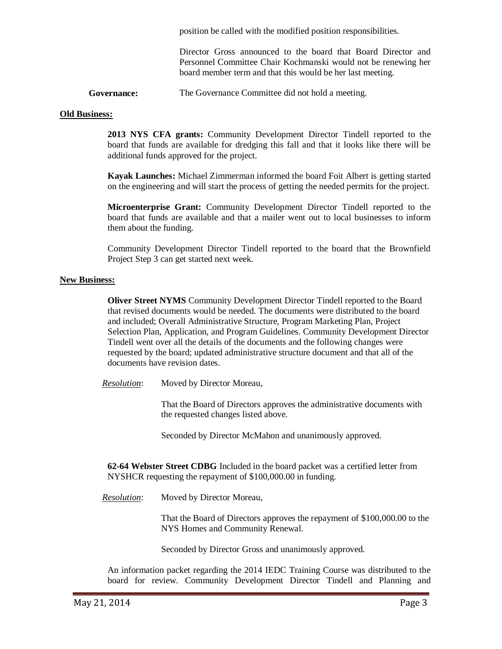position be called with the modified position responsibilities.

Director Gross announced to the board that Board Director and Personnel Committee Chair Kochmanski would not be renewing her board member term and that this would be her last meeting.

**Governance:** The Governance Committee did not hold a meeting.

#### **Old Business:**

**2013 NYS CFA grants:** Community Development Director Tindell reported to the board that funds are available for dredging this fall and that it looks like there will be additional funds approved for the project.

**Kayak Launches:** Michael Zimmerman informed the board Foit Albert is getting started on the engineering and will start the process of getting the needed permits for the project.

**Microenterprise Grant:** Community Development Director Tindell reported to the board that funds are available and that a mailer went out to local businesses to inform them about the funding.

Community Development Director Tindell reported to the board that the Brownfield Project Step 3 can get started next week.

#### **New Business:**

**Oliver Street NYMS** Community Development Director Tindell reported to the Board that revised documents would be needed. The documents were distributed to the board and included; Overall Administrative Structure, Program Marketing Plan, Project Selection Plan, Application, and Program Guidelines. Community Development Director Tindell went over all the details of the documents and the following changes were requested by the board; updated administrative structure document and that all of the documents have revision dates.

*Resolution*: Moved by Director Moreau,

That the Board of Directors approves the administrative documents with the requested changes listed above.

Seconded by Director McMahon and unanimously approved.

**62-64 Webster Street CDBG** Included in the board packet was a certified letter from NYSHCR requesting the repayment of \$100,000.00 in funding.

*Resolution*: Moved by Director Moreau,

That the Board of Directors approves the repayment of \$100,000.00 to the NYS Homes and Community Renewal.

Seconded by Director Gross and unanimously approved.

An information packet regarding the 2014 IEDC Training Course was distributed to the board for review. Community Development Director Tindell and Planning and